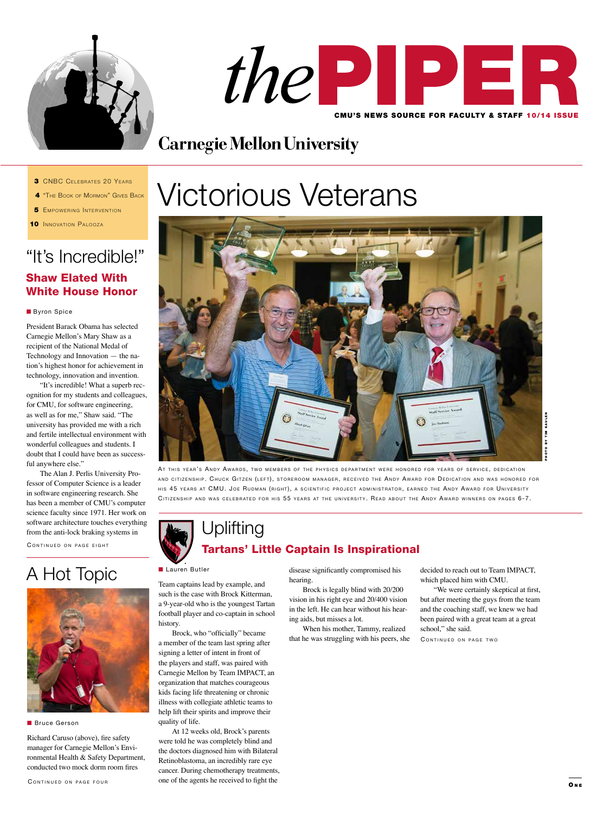



# **Carnegie Mellon University**

- **3 CNBC CELEBRATES 20 YEARS**
- 4 "The Book of Mormon" Gives Back
- **5** EMPOWERING INTERVENTION
- **10 INNOVATION PALOOZA**

### "It's Incredible!" Shaw Elated With White House Honor

#### **Byron Spice**

President Barack Obama has selected Carnegie Mellon's Mary Shaw as a recipient of the National Medal of Technology and Innovation — the nation's highest honor for achievement in technology, innovation and invention.

"It's incredible! What a superb recognition for my students and colleagues, for CMU, for software engineering, as well as for me," Shaw said. "The university has provided me with a rich and fertile intellectual environment with wonderful colleagues and students. I doubt that I could have been as successful anywhere else."

The Alan J. Perlis University Professor of Computer Science is a leader in software engineering research. She has been a member of CMU's computer science faculty since 1971. Her work on software architecture touches everything from the anti-lock braking systems in

CONTINUED ON PAGE EIGHT



**n** Bruce Gerson

Richard Caruso (above), fire safety manager for Carnegie Mellon's Environmental Health & Safety Department, conducted two mock dorm room fires

# Victorious Veterans



AT THIS YEAR'S ANDY AWARDS, TWO MEMBERS OF THE PHYSICS DEPARTMENT WERE HONORED FOR YEARS OF SERVICE, DEDICATION AND CITIZENSHIP. CHUCK GITZEN (LEFT), STOREROOM MANAGER, RECEIVED THE ANDY AWARD FOR DEDICATION AND WAS HONORED FOR HIS 45 YEARS AT CMU. JOE RUDMAN (RIGHT), A SCIENTIFIC PROJECT ADMINISTRATOR, EARNED THE ANDY AWARD FOR UNIVERSITY CITIZENSHIP AND WAS CELEBRATED FOR HIS 55 YEARS AT THE UNIVERSITY. READ ABOUT THE ANDY AWARD WINNERS ON PAGES 6-7.

### Uplifting Tartans' Little Captain Is Inspirational

#### **Lauren Butler**

Team captains lead by example, and such is the case with Brock Kitterman, a 9-year-old who is the youngest Tartan football player and co-captain in school history.

Brock, who "officially" became a member of the team last spring after signing a letter of intent in front of the players and staff, was paired with Carnegie Mellon by Team IMPACT, an organization that matches courageous kids facing life threatening or chronic illness with collegiate athletic teams to help lift their spirits and improve their quality of life.

At 12 weeks old, Brock's parents were told he was completely blind and the doctors diagnosed him with Bilateral Retinoblastoma, an incredibly rare eye cancer. During chemotherapy treatments, one of the agents he received to fight the

A Hot Topic **Lauren Butler** disease significantly compromised his disease significantly compromised his hearing.

Brock is legally blind with 20/200 vision in his right eye and 20/400 vision in the left. He can hear without his hearing aids, but misses a lot.

When his mother, Tammy, realized that he was struggling with his peers, she decided to reach out to Team IMPACT, which placed him with CMU.

"We were certainly skeptical at first, but after meeting the guys from the team and the coaching staff, we knew we had been paired with a great team at a great school," she said.

CONTINUED ON PAGE TWO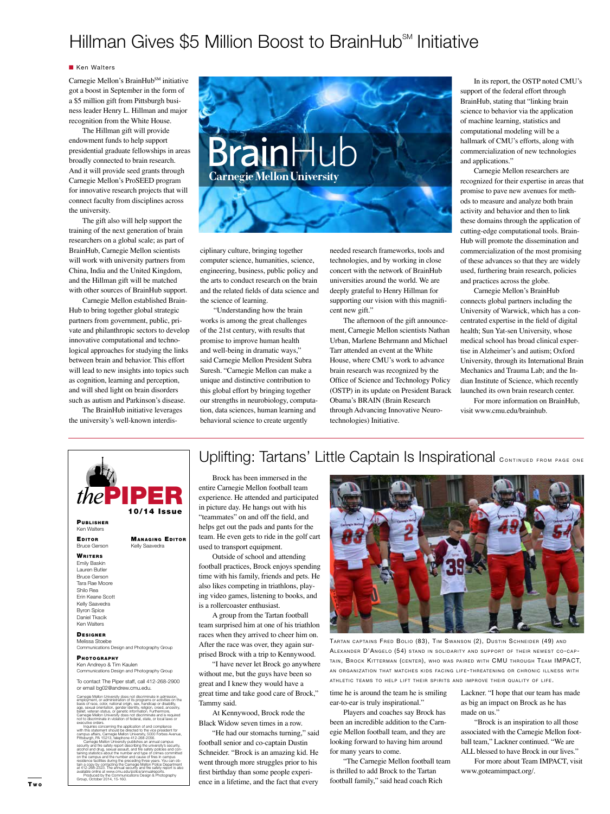### Hillman Gives \$5 Million Boost to BrainHub<sup>sm</sup> Initiative

#### **Ken Walters**

Carnegie Mellon's BrainHubSM initiative got a boost in September in the form of a \$5 million gift from Pittsburgh business leader Henry L. Hillman and major recognition from the White House.

The Hillman gift will provide endowment funds to help support presidential graduate fellowships in areas broadly connected to brain research. And it will provide seed grants through Carnegie Mellon's ProSEED program for innovative research projects that will connect faculty from disciplines across the university.

The gift also will help support the training of the next generation of brain researchers on a global scale; as part of BrainHub, Carnegie Mellon scientists will work with university partners from China, India and the United Kingdom, and the Hillman gift will be matched with other sources of BrainHub support.

Carnegie Mellon established Brain-Hub to bring together global strategic partners from government, public, private and philanthropic sectors to develop innovative computational and technological approaches for studying the links between brain and behavior. This effort will lead to new insights into topics such as cognition, learning and perception, and will shed light on brain disorders such as autism and Parkinson's disease.

The BrainHub initiative leverages the university's well-known interdis-

EDITOR MANAGING EDITOR Bruce Gerson Kelly Saavedra

PIPER

10/14 Issue



ciplinary culture, bringing together computer science, humanities, science, engineering, business, public policy and the arts to conduct research on the brain and the related fields of data science and the science of learning.

"Understanding how the brain works is among the great challenges of the 21st century, with results that promise to improve human health and well-being in dramatic ways," said Carnegie Mellon President Subra Suresh. "Carnegie Mellon can make a unique and distinctive contribution to this global effort by bringing together our strengths in neurobiology, computation, data sciences, human learning and behavioral science to create urgently

needed research frameworks, tools and technologies, and by working in close concert with the network of BrainHub universities around the world. We are deeply grateful to Henry Hillman for supporting our vision with this magnificent new gift."

The afternoon of the gift announcement, Carnegie Mellon scientists Nathan Urban, Marlene Behrmann and Michael Tarr attended an event at the White House, where CMU's work to advance brain research was recognized by the Office of Science and Technology Policy (OSTP) in its update on President Barack Obama's BRAIN (Brain Research through Advancing Innovative Neurotechnologies) Initiative.

In its report, the OSTP noted CMU's support of the federal effort through BrainHub, stating that "linking brain science to behavior via the application of machine learning, statistics and computational modeling will be a hallmark of CMU's efforts, along with commercialization of new technologies and applications."

Carnegie Mellon researchers are recognized for their expertise in areas that promise to pave new avenues for methods to measure and analyze both brain activity and behavior and then to link these domains through the application of cutting-edge computational tools. Brain-Hub will promote the dissemination and commercialization of the most promising of these advances so that they are widely used, furthering brain research, policies and practices across the globe.

Carnegie Mellon's BrainHub connects global partners including the University of Warwick, which has a concentrated expertise in the field of digital health; Sun Yat-sen University, whose medical school has broad clinical expertise in Alzheimer's and autism; Oxford University, through its International Brain Mechanics and Trauma Lab; and the Indian Institute of Science, which recently launched its own brain research center.

For more information on BrainHub, visit www.cmu.edu/brainhub.

### Uplifting: Tartans' Little Captain Is Inspirational CONTINUED FROM PAGE ONE

Brock has been immersed in the entire Carnegie Mellon football team experience. He attended and participated in picture day. He hangs out with his "teammates" on and off the field, and helps get out the pads and pants for the team. He even gets to ride in the golf cart used to transport equipment.

Outside of school and attending football practices, Brock enjoys spending time with his family, friends and pets. He also likes competing in triathlons, playing video games, listening to books, and is a rollercoaster enthusiast.

A group from the Tartan football team surprised him at one of his triathlon races when they arrived to cheer him on. After the race was over, they again surprised Brock with a trip to Kennywood.

"I have never let Brock go anywhere without me, but the guys have been so great and I knew they would have a great time and take good care of Brock," Tammy said.

At Kennywood, Brock rode the Black Widow seven times in a row.

"He had our stomachs turning," said football senior and co-captain Dustin Schneider. "Brock is an amazing kid. He went through more struggles prior to his first birthday than some people experience in a lifetime, and the fact that every



TARTAN CAPTAINS FRED BOLIO (83), TIM SWANSON (2), DUSTIN SCHNEIDER (49) AND ALEXANDER D'ANGELO (54) STAND IN SOLIDARITY AND SUPPORT OF THEIR NEWEST CO-CAP-TAIN, BROCK KITTERMAN (CENTER), WHO WAS PAIRED WITH CMU THROUGH TEAM IMPACT, AN ORGANIZATION THAT MATCHES KIDS FACING LIFE-THREATENING OR CHRONIC ILLNESS WITH ATHLETIC TEAMS TO HELP LIFT THEIR SPIRITS AND IMPROVE THEIR QUALITY OF LIFE.

time he is around the team he is smiling ear-to-ear is truly inspirational."

Players and coaches say Brock has been an incredible addition to the Carnegie Mellon football team, and they are looking forward to having him around for many years to come.

"The Carnegie Mellon football team is thrilled to add Brock to the Tartan football family," said head coach Rich

Lackner. "I hope that our team has made as big an impact on Brock as he has made on us."

"Brock is an inspiration to all those associated with the Carnegie Mellon football team," Lackner continued. "We are ALL blessed to have Brock in our lives."

For more about Team IMPACT, visit www.goteamimpact.org/.

#### **WRITERS** Emily Baskin Lauren Butler Bruce Gerson Tara Rae Moore Shilo Rea

Erin Keane Scott Kelly Saavedra Byron Spice Daniel Tkacik Ken Walters

PUBLISHER Ken Walters

**DESIGNER** Melissa Stoebe

Communications Design and Photography Group

#### PHOTOGRAPHY Ken Andreyo & Tim Kaulen

Communications Design and Photography Group To contact The Piper staff, call 412-268-2900 or email bg02@andrew.cmu.edu.

Carnegie Mellon University does not discriminate in admission,<br>employment, or administration of its programs or activities on the<br>basis of race, color, national origin, sex, handicap or disability,<br>age, sexual orientation,

Inquiries concerning the application of and compliance<br>with this iststement should be directed to the vice president for<br>examples affairs, Carnegie Mellon University, 5000 Forbes Avenue,<br>Pittsburgh, PA 15213, telephone 412 available online at www.cmu.edu/police/annualreports. Produced by the Communications Design & Photography Group, October 2014, 15-160.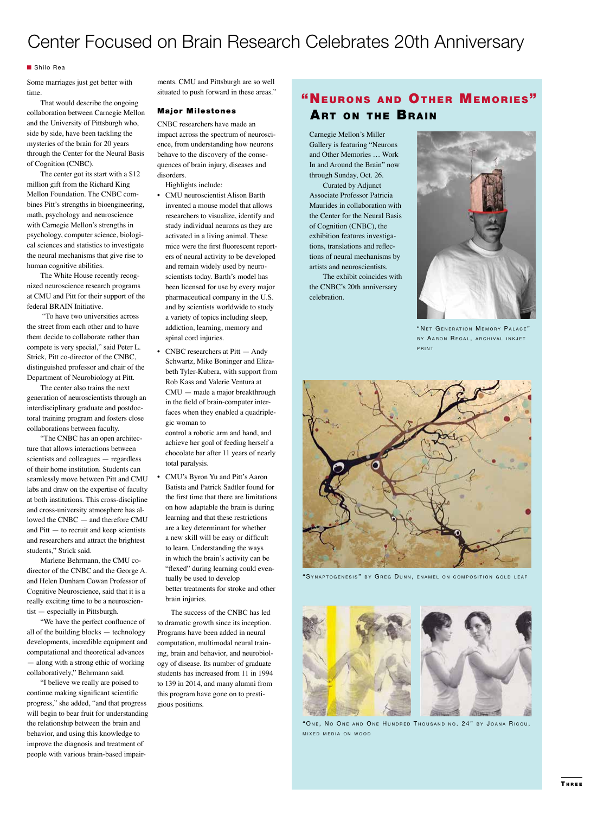### Center Focused on Brain Research Celebrates 20th Anniversary

#### ■ Shilo Rea

Some marriages just get better with time.

That would describe the ongoing collaboration between Carnegie Mellon and the University of Pittsburgh who, side by side, have been tackling the mysteries of the brain for 20 years through the Center for the Neural Basis of Cognition (CNBC).

The center got its start with a \$12 million gift from the Richard King Mellon Foundation. The CNBC combines Pitt's strengths in bioengineering, math, psychology and neuroscience with Carnegie Mellon's strengths in psychology, computer science, biological sciences and statistics to investigate the neural mechanisms that give rise to human cognitive abilities.

The White House recently recognized neuroscience research programs at CMU and Pitt for their support of the federal BRAIN Initiative.

 "To have two universities across the street from each other and to have them decide to collaborate rather than compete is very special," said Peter L. Strick, Pitt co-director of the CNBC, distinguished professor and chair of the Department of Neurobiology at Pitt.

The center also trains the next generation of neuroscientists through an interdisciplinary graduate and postdoctoral training program and fosters close collaborations between faculty.

"The CNBC has an open architecture that allows interactions between scientists and colleagues — regardless of their home institution. Students can seamlessly move between Pitt and CMU labs and draw on the expertise of faculty at both institutions. This cross-discipline and cross-university atmosphere has allowed the CNBC — and therefore CMU and Pitt — to recruit and keep scientists and researchers and attract the brightest students," Strick said.

Marlene Behrmann, the CMU codirector of the CNBC and the George A. and Helen Dunham Cowan Professor of Cognitive Neuroscience, said that it is a really exciting time to be a neuroscientist — especially in Pittsburgh.

"We have the perfect confluence of all of the building blocks — technology developments, incredible equipment and computational and theoretical advances — along with a strong ethic of working collaboratively," Behrmann said.

"I believe we really are poised to continue making significant scientific progress," she added, "and that progress will begin to bear fruit for understanding the relationship between the brain and behavior, and using this knowledge to improve the diagnosis and treatment of people with various brain-based impairments. CMU and Pittsburgh are so well situated to push forward in these areas."

#### Major Milestones

CNBC researchers have made an impact across the spectrum of neuroscience, from understanding how neurons behave to the discovery of the consequences of brain injury, diseases and disorders.

Highlights include:

- CMU neuroscientist Alison Barth invented a mouse model that allows researchers to visualize, identify and study individual neurons as they are activated in a living animal. These mice were the first fluorescent reporters of neural activity to be developed and remain widely used by neuroscientists today. Barth's model has been licensed for use by every major pharmaceutical company in the U.S. and by scientists worldwide to study a variety of topics including sleep, addiction, learning, memory and spinal cord injuries.
- CNBC researchers at Pitt Andy Schwartz, Mike Boninger and Elizabeth Tyler-Kubera, with support from Rob Kass and Valerie Ventura at CMU — made a major breakthrough in the field of brain-computer interfaces when they enabled a quadriplegic woman to

control a robotic arm and hand, and achieve her goal of feeding herself a chocolate bar after 11 years of nearly total paralysis.

• CMU's Byron Yu and Pitt's Aaron Batista and Patrick Sadtler found for the first time that there are limitations on how adaptable the brain is during learning and that these restrictions are a key determinant for whether a new skill will be easy or difficult to learn. Understanding the ways in which the brain's activity can be "flexed" during learning could eventually be used to develop better treatments for stroke and other brain injuries.

The success of the CNBC has led to dramatic growth since its inception. Programs have been added in neural computation, multimodal neural training, brain and behavior, and neurobiology of disease. Its number of graduate students has increased from 11 in 1994 to 139 in 2014, and many alumni from this program have gone on to prestigious positions.

### "NEURONS AND OTHER MEMORIES" **ART ON THE BRAIN**

Carnegie Mellon's Miller Gallery is featuring "Neurons and Other Memories … Work In and Around the Brain" now through Sunday, Oct. 26.

Curated by Adjunct Associate Professor Patricia Maurides in collaboration with the Center for the Neural Basis of Cognition (CNBC), the exhibition features investigations, translations and reflections of neural mechanisms by artists and neuroscientists.

The exhibit coincides with the CNBC's 20th anniversary celebration.



" NET GENERATION MEMORY PALACE" BY AARON REGAL, ARCHIVAL INKJET **PRINT** 



"SYNAPTOGENESIS" BY GREG DUNN, ENAMEL ON COMPOSITION GOLD LEAF



" ONE, NO ONE AND ONE HUNDRED THOUSAND NO. 24" BY JOANA RICOU, MIXED MEDIA ON WOOD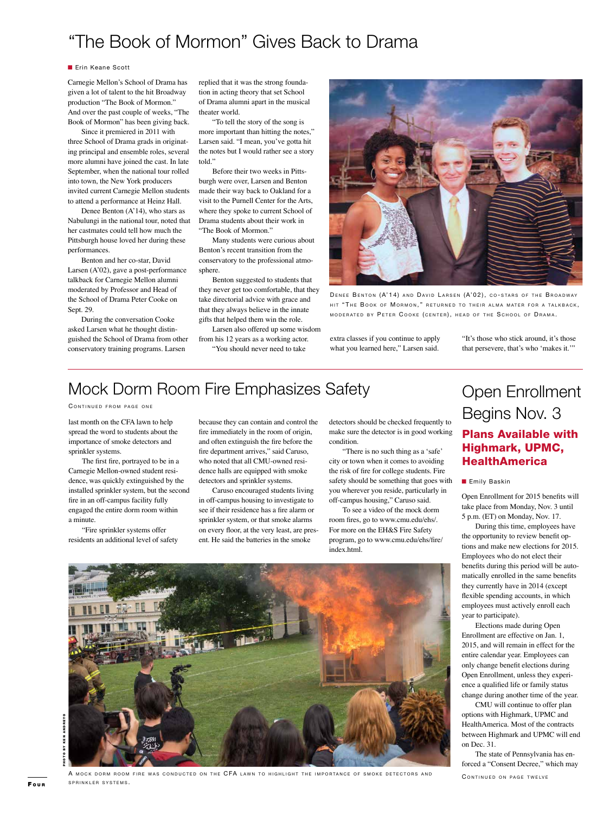### "The Book of Mormon" Gives Back to Drama

#### **n** Erin Keane Scott

Carnegie Mellon's School of Drama has given a lot of talent to the hit Broadway production "The Book of Mormon." And over the past couple of weeks, "The Book of Mormon" has been giving back.

Since it premiered in 2011 with three School of Drama grads in originating principal and ensemble roles, several more alumni have joined the cast. In late September, when the national tour rolled into town, the New York producers invited current Carnegie Mellon students to attend a performance at Heinz Hall.

Denee Benton (A'14), who stars as Nabulungi in the national tour, noted that her castmates could tell how much the Pittsburgh house loved her during these performances.

Benton and her co-star, David Larsen (A'02), gave a post-performance talkback for Carnegie Mellon alumni moderated by Professor and Head of the School of Drama Peter Cooke on Sept. 29.

During the conversation Cooke asked Larsen what he thought distinguished the School of Drama from other conservatory training programs. Larsen

replied that it was the strong foundation in acting theory that set School of Drama alumni apart in the musical theater world.

"To tell the story of the song is more important than hitting the notes," Larsen said. "I mean, you've gotta hit the notes but I would rather see a story told."

Before their two weeks in Pittsburgh were over, Larsen and Benton made their way back to Oakland for a visit to the Purnell Center for the Arts, where they spoke to current School of Drama students about their work in "The Book of Mormon."

Many students were curious about Benton's recent transition from the conservatory to the professional atmosphere.

Benton suggested to students that they never get too comfortable, that they take directorial advice with grace and that they always believe in the innate gifts that helped them win the role.

Larsen also offered up some wisdom from his 12 years as a working actor.

"You should never need to take



DENEE BENTON (A'14) AND DAVID LARSEN (A'02), CO-STARS OF THE BROADWAY HIT "THE BOOK OF MORMON," RETURNED TO THEIR ALMA MATER FOR A TALKBACK, MODERATED BY PETER COOKE (CENTER), HEAD OF THE SCHOOL OF DRAMA.

extra classes if you continue to apply what you learned here," Larsen said.

"It's those who stick around, it's those that persevere, that's who 'makes it.'"

### Mock Dorm Room Fire Emphasizes Safety

#### CONTINUED FROM PAGE ONE

last month on the CFA lawn to help spread the word to students about the importance of smoke detectors and sprinkler systems.

The first fire, portrayed to be in a Carnegie Mellon-owned student residence, was quickly extinguished by the installed sprinkler system, but the second fire in an off-campus facility fully engaged the entire dorm room within a minute.

"Fire sprinkler systems offer residents an additional level of safety because they can contain and control the fire immediately in the room of origin, and often extinguish the fire before the fire department arrives," said Caruso, who noted that all CMU-owned residence halls are equipped with smoke detectors and sprinkler systems.

Caruso encouraged students living in off-campus housing to investigate to see if their residence has a fire alarm or sprinkler system, or that smoke alarms on every floor, at the very least, are present. He said the batteries in the smoke

detectors should be checked frequently to make sure the detector is in good working condition.

"There is no such thing as a 'safe' city or town when it comes to avoiding the risk of fire for college students. Fire safety should be something that goes with you wherever you reside, particularly in off-campus housing," Caruso said.

To see a video of the mock dorm room fires, go to www.cmu.edu/ehs/. For more on the EH&S Fire Safety program, go to www.cmu.edu/ehs/fire/ index.html.



### Plans Available with Highmark, UPMC, **HealthAmerica**

#### **n** Emily Baskin

Open Enrollment for 2015 benefits will take place from Monday, Nov. 3 until 5 p.m. (ET) on Monday, Nov. 17.

During this time, employees have the opportunity to review benefit options and make new elections for 2015. Employees who do not elect their benefits during this period will be automatically enrolled in the same benefits they currently have in 2014 (except flexible spending accounts, in which employees must actively enroll each year to participate).

Elections made during Open Enrollment are effective on Jan. 1, 2015, and will remain in effect for the entire calendar year. Employees can only change benefit elections during Open Enrollment, unless they experience a qualified life or family status change during another time of the year.

CMU will continue to offer plan options with Highmark, UPMC and HealthAmerica. Most of the contracts between Highmark and UPMC will end on Dec. 31.

The state of Pennsylvania has enforced a "Consent Decree," which may CONTINUED ON PAGE TWELVE



A MOCK DORM ROOM FIRE WAS CONDUCTED ON THE CFA LAWN TO HIGHLIGHT THE IMPORTANCE OF SMOKE DETECTORS AND SPRINKLER SYSTEMS.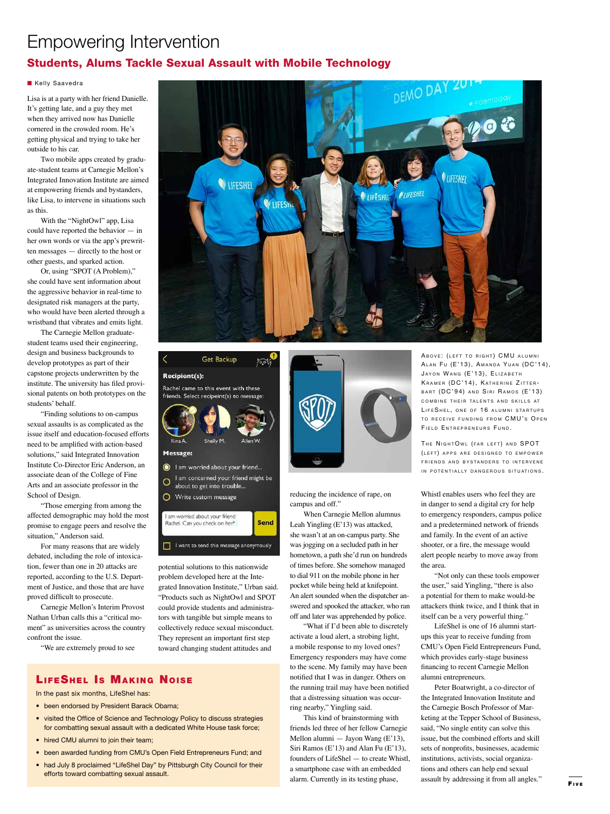## Empowering Intervention

### Students, Alums Tackle Sexual Assault with Mobile Technology

#### **Kelly Saavedra**

Lisa is at a party with her friend Danielle. It's getting late, and a guy they met when they arrived now has Danielle cornered in the crowded room. He's getting physical and trying to take her outside to his car.

Two mobile apps created by graduate-student teams at Carnegie Mellon's Integrated Innovation Institute are aimed at empowering friends and bystanders, like Lisa, to intervene in situations such as this.

With the "NightOwl" app, Lisa could have reported the behavior — in her own words or via the app's prewritten messages — directly to the host or other guests, and sparked action.

Or, using "SPOT (A Problem)," she could have sent information about the aggressive behavior in real-time to designated risk managers at the party, who would have been alerted through a wristband that vibrates and emits light.

The Carnegie Mellon graduatestudent teams used their engineering, design and business backgrounds to develop prototypes as part of their capstone projects underwritten by the institute. The university has filed provisional patents on both prototypes on the students' behalf.

"Finding solutions to on-campus sexual assaults is as complicated as the issue itself and education-focused efforts need to be amplified with action-based solutions," said Integrated Innovation Institute Co-Director Eric Anderson, an associate dean of the College of Fine Arts and an associate professor in the School of Design.

"Those emerging from among the affected demographic may hold the most promise to engage peers and resolve the situation," Anderson said.

For many reasons that are widely debated, including the role of intoxication, fewer than one in 20 attacks are reported, according to the U.S. Department of Justice, and those that are have proved difficult to prosecute.

Carnegie Mellon's Interim Provost Nathan Urban calls this a "critical moment" as universities across the country confront the issue.

"We are extremely proud to see



Get Backup **Recipient(s):** 

Rachel came to this event with these friends. Select recipeint(s) to message:

أثاقوها



O Write custom message

I am womed about your friend Send Rachel, Can you check on her? I want to send this message anonymously

potential solutions to this nationwide problem developed here at the Integrated Innovation Institute," Urban said. "Products such as NightOwl and SPOT could provide students and administrators with tangible but simple means to collectively reduce sexual misconduct. They represent an important first step toward changing student attitudes and



reducing the incidence of rape, on campus and off."

When Carnegie Mellon alumnus Leah Yingling (E'13) was attacked, she wasn't at an on-campus party. She was jogging on a secluded path in her hometown, a path she'd run on hundreds of times before. She somehow managed to dial 911 on the mobile phone in her pocket while being held at knifepoint. An alert sounded when the dispatcher answered and spooked the attacker, who ran

off and later was apprehended by police. "What if I'd been able to discretely activate a loud alert, a strobing light, a mobile response to my loved ones? Emergency responders may have come to the scene. My family may have been notified that I was in danger. Others on the running trail may have been notified that a distressing situation was occurring nearby," Yingling said.

This kind of brainstorming with friends led three of her fellow Carnegie Mellon alumni — Jayon Wang (E'13), Siri Ramos (E'13) and Alan Fu (E'13), founders of LifeShel — to create Whistl, a smartphone case with an embedded alarm. Currently in its testing phase,

ABOVE: (LEFT TO RIGHT) CMU ALUMNI ALAN FU (E'13), AMANDA YUAN (DC'14), JAYON WANG (E'13), ELIZABETH KRAMER (DC'14), KATHERINE ZITTER-BART (DC'94) AND SIRI RAMOS (E'13) COMBINE THEIR TALENTS AND SKILLS AT LIFESHEL, ONE OF 16 ALUMNI STARTUPS TO RECEIVE FUNDING FROM CMU'S OPEN FIELD ENTREPRENEURS FUND.

THE NIGHTOWL (FAR LEFT) AND SPOT (LEFT) APPS ARE DESIGNED TO EMPOWER FRIENDS AND BYSTANDERS TO INTERVENE IN POTENTIALLY DANGEROUS SITUATIONS.

Whistl enables users who feel they are in danger to send a digital cry for help to emergency responders, campus police and a predetermined network of friends and family. In the event of an active shooter, or a fire, the message would alert people nearby to move away from the area.

"Not only can these tools empower the user," said Yingling, "there is also a potential for them to make would-be attackers think twice, and I think that in itself can be a very powerful thing."

LifeShel is one of 16 alumni startups this year to receive funding from CMU's Open Field Entrepreneurs Fund, which provides early-stage business financing to recent Carnegie Mellon alumni entrepreneurs.

Peter Boatwright, a co-director of the Integrated Innovation Institute and the Carnegie Bosch Professor of Marketing at the Tepper School of Business, said, "No single entity can solve this issue, but the combined efforts and skill sets of nonprofits, businesses, academic institutions, activists, social organizations and others can help end sexual assault by addressing it from all angles."

#### LIFESHEL IS MAKING NOISE In the past six months, LifeShel has:

- been endorsed by President Barack Obama;
- visited the Office of Science and Technology Policy to discuss strategies for combatting sexual assault with a dedicated White House task force;
- hired CMU alumni to join their team;
- been awarded funding from CMU's Open Field Entrepreneurs Fund; and
- had July 8 proclaimed "LifeShel Day" by Pittsburgh City Council for their efforts toward combatting sexual assault.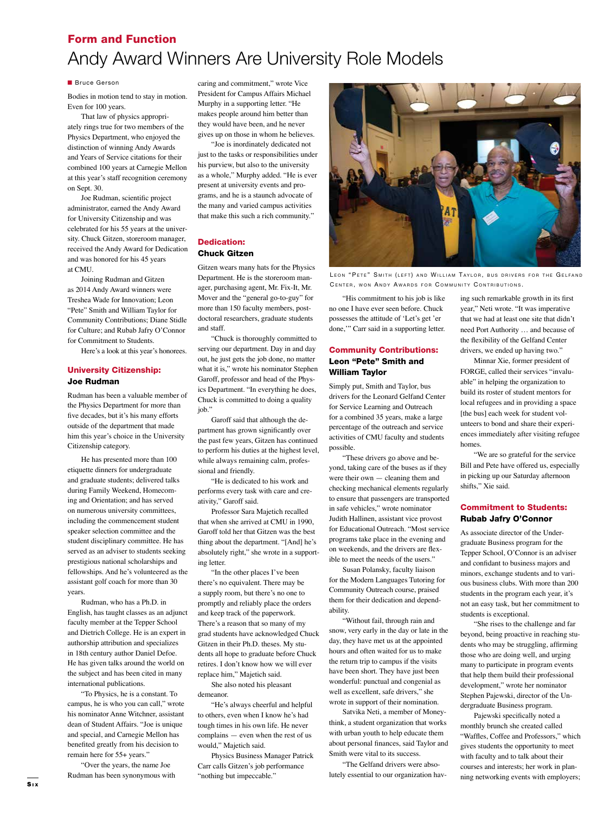### Form and Function Andy Award Winners Are University Role Models

#### **n** Bruce Gerson

Bodies in motion tend to stay in motion. Even for 100 years.

That law of physics appropriately rings true for two members of the Physics Department, who enjoyed the distinction of winning Andy Awards and Years of Service citations for their combined 100 years at Carnegie Mellon at this year's staff recognition ceremony on Sept. 30.

Joe Rudman, scientific project administrator, earned the Andy Award for University Citizenship and was celebrated for his 55 years at the university. Chuck Gitzen, storeroom manager, received the Andy Award for Dedication and was honored for his 45 years at CMU.

Joining Rudman and Gitzen as 2014 Andy Award winners were Treshea Wade for Innovation; Leon "Pete" Smith and William Taylor for Community Contributions; Diane Stidle for Culture; and Rubab Jafry O'Connor for Commitment to Students.

Here's a look at this year's honorees.

#### University Citizenship: Joe Rudman

Rudman has been a valuable member of the Physics Department for more than five decades, but it's his many efforts outside of the department that made him this year's choice in the University Citizenship category.

He has presented more than 100 etiquette dinners for undergraduate and graduate students; delivered talks during Family Weekend, Homecoming and Orientation; and has served on numerous university committees, including the commencement student speaker selection committee and the student disciplinary committee. He has served as an adviser to students seeking prestigious national scholarships and fellowships. And he's volunteered as the assistant golf coach for more than 30 years.

Rudman, who has a Ph.D. in English, has taught classes as an adjunct faculty member at the Tepper School and Dietrich College. He is an expert in authorship attribution and specializes in 18th century author Daniel Defoe. He has given talks around the world on the subject and has been cited in many international publications.

"To Physics, he is a constant. To campus, he is who you can call," wrote his nominator Anne Witchner, assistant dean of Student Affairs. "Joe is unique and special, and Carnegie Mellon has benefited greatly from his decision to remain here for 55+ years."

"Over the years, the name Joe Rudman has been synonymous with caring and commitment," wrote Vice President for Campus Affairs Michael Murphy in a supporting letter. "He makes people around him better than they would have been, and he never gives up on those in whom he believes.

"Joe is inordinately dedicated not just to the tasks or responsibilities under his purview, but also to the university as a whole," Murphy added. "He is ever present at university events and programs, and he is a staunch advocate of the many and varied campus activities that make this such a rich community."

#### Dedication: Chuck Gitzen

Gitzen wears many hats for the Physics Department. He is the storeroom manager, purchasing agent, Mr. Fix-It, Mr. Mover and the "general go-to-guy" for more than 150 faculty members, postdoctoral researchers, graduate students and staff.

"Chuck is thoroughly committed to serving our department. Day in and day out, he just gets the job done, no matter what it is," wrote his nominator Stephen Garoff, professor and head of the Physics Department. "In everything he does, Chuck is committed to doing a quality job."

Garoff said that although the department has grown significantly over the past few years, Gitzen has continued to perform his duties at the highest level, while always remaining calm, professional and friendly.

"He is dedicated to his work and performs every task with care and creativity," Garoff said.

Professor Sara Majetich recalled that when she arrived at CMU in 1990, Garoff told her that Gitzen was the best thing about the department. "[And] he's absolutely right," she wrote in a supporting letter.

"In the other places I've been there's no equivalent. There may be a supply room, but there's no one to promptly and reliably place the orders and keep track of the paperwork. There's a reason that so many of my grad students have acknowledged Chuck Gitzen in their Ph.D. theses. My students all hope to graduate before Chuck retires. I don't know how we will ever replace him," Majetich said.

She also noted his pleasant demeanor.

"He's always cheerful and helpful to others, even when I know he's had tough times in his own life. He never complains — even when the rest of us would," Majetich said.

Physics Business Manager Patrick Carr calls Gitzen's job performance "nothing but impeccable."



LEON "PETE" SMITH (LEFT) AND WILLIAM TAYLOR, BUS DRIVERS FOR THE GELFAND CENTER, WON ANDY AWARDS FOR COMMUNITY CONTRIBUTIONS.

"His commitment to his job is like no one I have ever seen before. Chuck possesses the attitude of 'Let's get 'er done,'" Carr said in a supporting letter.

#### Community Contributions: Leon "Pete" Smith and William Taylor

Simply put, Smith and Taylor, bus drivers for the Leonard Gelfand Center for Service Learning and Outreach for a combined 35 years, make a large percentage of the outreach and service activities of CMU faculty and students possible.

"These drivers go above and beyond, taking care of the buses as if they were their own — cleaning them and checking mechanical elements regularly to ensure that passengers are transported in safe vehicles," wrote nominator Judith Hallinen, assistant vice provost for Educational Outreach. "Most service programs take place in the evening and on weekends, and the drivers are flexible to meet the needs of the users."

Susan Polansky, faculty liaison for the Modern Languages Tutoring for Community Outreach course, praised them for their dedication and dependability.

"Without fail, through rain and snow, very early in the day or late in the day, they have met us at the appointed hours and often waited for us to make the return trip to campus if the visits have been short. They have just been wonderful: punctual and congenial as well as excellent, safe drivers," she wrote in support of their nomination.

Satvika Neti, a member of Moneythink, a student organization that works with urban youth to help educate them about personal finances, said Taylor and Smith were vital to its success.

"The Gelfand drivers were absolutely essential to our organization having such remarkable growth in its first year," Neti wrote. "It was imperative that we had at least one site that didn't need Port Authority … and because of the flexibility of the Gelfand Center drivers, we ended up having two."

Minnar Xie, former president of FORGE, called their services "invaluable" in helping the organization to build its roster of student mentors for local refugees and in providing a space [the bus] each week for student volunteers to bond and share their experiences immediately after visiting refugee homes.

"We are so grateful for the service Bill and Pete have offered us, especially in picking up our Saturday afternoon shifts," Xie said.

#### Commitment to Students: Rubab Jafry O'Connor

As associate director of the Undergraduate Business program for the Tepper School, O'Connor is an adviser and confidant to business majors and minors, exchange students and to various business clubs. With more than 200 students in the program each year, it's not an easy task, but her commitment to students is exceptional.

"She rises to the challenge and far beyond, being proactive in reaching students who may be struggling, affirming those who are doing well, and urging many to participate in program events that help them build their professional development," wrote her nominator Stephen Pajewski, director of the Undergraduate Business program.

Pajewski specifically noted a monthly brunch she created called "Waffles, Coffee and Professors," which gives students the opportunity to meet with faculty and to talk about their courses and interests; her work in planning networking events with employers;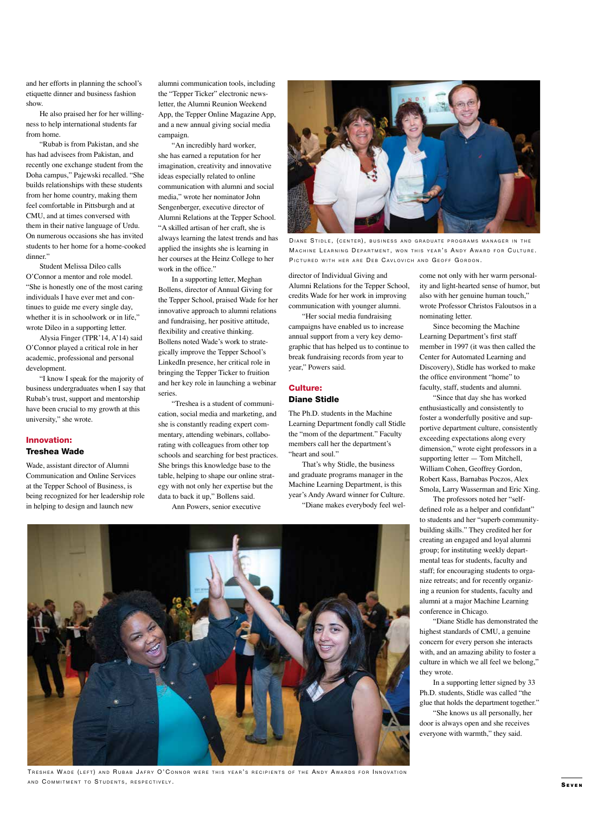and her efforts in planning the school's etiquette dinner and business fashion show.

He also praised her for her willingness to help international students far from home.

"Rubab is from Pakistan, and she has had advisees from Pakistan, and recently one exchange student from the Doha campus," Pajewski recalled. "She builds relationships with these students from her home country, making them feel comfortable in Pittsburgh and at CMU, and at times conversed with them in their native language of Urdu. On numerous occasions she has invited students to her home for a home-cooked dinner."

Student Melissa Dileo calls O'Connor a mentor and role model. "She is honestly one of the most caring individuals I have ever met and continues to guide me every single day, whether it is in schoolwork or in life," wrote Dileo in a supporting letter.

Alysia Finger (TPR'14, A'14) said O'Connor played a critical role in her academic, professional and personal development.

"I know I speak for the majority of business undergraduates when I say that Rubab's trust, support and mentorship have been crucial to my growth at this university," she wrote.

#### Innovation: Treshea Wade

Wade, assistant director of Alumni Communication and Online Services at the Tepper School of Business, is being recognized for her leadership role in helping to design and launch new

alumni communication tools, including the "Tepper Ticker" electronic newsletter, the Alumni Reunion Weekend App, the Tepper Online Magazine App, and a new annual giving social media campaign.

"An incredibly hard worker, she has earned a reputation for her imagination, creativity and innovative ideas especially related to online communication with alumni and social media," wrote her nominator John Sengenberger, executive director of Alumni Relations at the Tepper School. "A skilled artisan of her craft, she is always learning the latest trends and has applied the insights she is learning in her courses at the Heinz College to her work in the office."

In a supporting letter, Meghan Bollens, director of Annual Giving for the Tepper School, praised Wade for her innovative approach to alumni relations and fundraising, her positive attitude, flexibility and creative thinking. Bollens noted Wade's work to strategically improve the Tepper School's LinkedIn presence, her critical role in bringing the Tepper Ticker to fruition and her key role in launching a webinar series.

"Treshea is a student of communication, social media and marketing, and she is constantly reading expert commentary, attending webinars, collaborating with colleagues from other top schools and searching for best practices. She brings this knowledge base to the table, helping to shape our online strategy with not only her expertise but the data to back it up," Bollens said.

Ann Powers, senior executive



DIANE STIDLE, (CENTER), BUSINESS AND GRADUATE PROGRAMS MANAGER IN THE MACHINE LEARNING DEPARTMENT, WON THIS YEAR'S ANDY AWARD FOR CULTURE. PICTURED WITH HER ARE DEB CAVLOVICH AND GEOFF GORDON.

director of Individual Giving and Alumni Relations for the Tepper School, credits Wade for her work in improving communication with younger alumni.

"Her social media fundraising campaigns have enabled us to increase annual support from a very key demographic that has helped us to continue to break fundraising records from year to year," Powers said.

#### Culture:

#### Diane Stidle

The Ph.D. students in the Machine Learning Department fondly call Stidle the "mom of the department." Faculty members call her the department's "heart and soul."

That's why Stidle, the business and graduate programs manager in the Machine Learning Department, is this year's Andy Award winner for Culture.

"Diane makes everybody feel wel-



TRESHEA WADE (LEFT) AND RUBAB JAFRY O' CONNOR WERE THIS YEAR'S RECIPIENTS OF THE ANDY AWARDS FOR INNOVATION AND COMMITMENT TO STUDENTS, RESPECTIVELY.

come not only with her warm personality and light-hearted sense of humor, but also with her genuine human touch," wrote Professor Christos Faloutsos in a nominating letter.

Since becoming the Machine Learning Department's first staff member in 1997 (it was then called the Center for Automated Learning and Discovery), Stidle has worked to make the office environment "home" to faculty, staff, students and alumni.

"Since that day she has worked enthusiastically and consistently to foster a wonderfully positive and supportive department culture, consistently exceeding expectations along every dimension," wrote eight professors in a supporting letter — Tom Mitchell, William Cohen, Geoffrey Gordon, Robert Kass, Barnabas Poczos, Alex Smola, Larry Wasserman and Eric Xing.

The professors noted her "selfdefined role as a helper and confidant" to students and her "superb communitybuilding skills." They credited her for creating an engaged and loyal alumni group; for instituting weekly departmental teas for students, faculty and staff; for encouraging students to organize retreats; and for recently organizing a reunion for students, faculty and alumni at a major Machine Learning conference in Chicago.

"Diane Stidle has demonstrated the highest standards of CMU, a genuine concern for every person she interacts with, and an amazing ability to foster a culture in which we all feel we belong," they wrote.

In a supporting letter signed by 33 Ph.D. students, Stidle was called "the glue that holds the department together."

"She knows us all personally, her door is always open and she receives everyone with warmth," they said.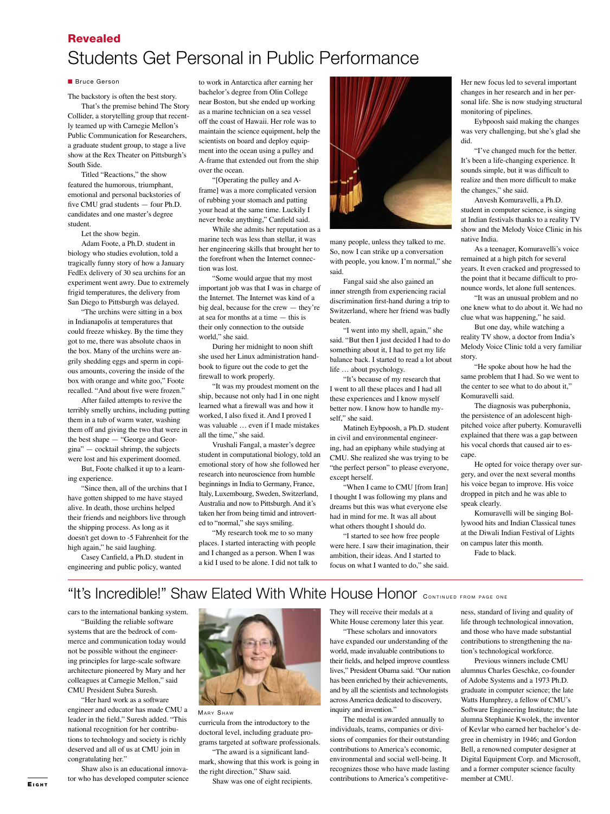### Revealed Students Get Personal in Public Performance

#### **n** Bruce Gerson

The backstory is often the best story.

That's the premise behind The Story Collider, a storytelling group that recently teamed up with Carnegie Mellon's Public Communication for Researchers, a graduate student group, to stage a live show at the Rex Theater on Pittsburgh's South Side.

Titled "Reactions," the show featured the humorous, triumphant, emotional and personal backstories of five CMU grad students — four Ph.D. candidates and one master's degree student.

Let the show begin.

Adam Foote, a Ph.D. student in biology who studies evolution, told a tragically funny story of how a January FedEx delivery of 30 sea urchins for an experiment went awry. Due to extremely frigid temperatures, the delivery from San Diego to Pittsburgh was delayed.

"The urchins were sitting in a box in Indianapolis at temperatures that could freeze whiskey. By the time they got to me, there was absolute chaos in the box. Many of the urchins were angrily shedding eggs and sperm in copious amounts, covering the inside of the box with orange and white goo," Foote recalled. "And about five were frozen."

After failed attempts to revive the terribly smelly urchins, including putting them in a tub of warm water, washing them off and giving the two that were in the best shape — "George and Georgina" — cocktail shrimp, the subjects were lost and his experiment doomed.

But, Foote chalked it up to a learning experience.

"Since then, all of the urchins that I have gotten shipped to me have stayed alive. In death, those urchins helped their friends and neighbors live through the shipping process. As long as it doesn't get down to -5 Fahrenheit for the high again," he said laughing.

Casey Canfield, a Ph.D. student in engineering and public policy, wanted

to work in Antarctica after earning her bachelor's degree from Olin College near Boston, but she ended up working as a marine technician on a sea vessel off the coast of Hawaii. Her role was to maintain the science equipment, help the scientists on board and deploy equipment into the ocean using a pulley and A-frame that extended out from the ship over the ocean.

"[Operating the pulley and Aframe] was a more complicated version of rubbing your stomach and patting your head at the same time. Luckily I never broke anything," Canfield said.

While she admits her reputation as a marine tech was less than stellar, it was her engineering skills that brought her to the forefront when the Internet connection was lost.

"Some would argue that my most important job was that I was in charge of the Internet. The Internet was kind of a big deal, because for the crew — they're at sea for months at a time — this is their only connection to the outside world," she said.

During her midnight to noon shift she used her Linux administration handbook to figure out the code to get the firewall to work properly.

"It was my proudest moment on the ship, because not only had I in one night learned what a firewall was and how it worked, I also fixed it. And I proved I was valuable … even if I made mistakes all the time," she said.

Vrushali Fangal, a master's degree student in computational biology, told an emotional story of how she followed her research into neuroscience from humble beginnings in India to Germany, France, Italy, Luxembourg, Sweden, Switzerland, Australia and now to Pittsburgh. And it's taken her from being timid and introverted to "normal," she says smiling.

"My research took me to so many places. I started interacting with people and I changed as a person. When I was a kid I used to be alone. I did not talk to



many people, unless they talked to me. So, now I can strike up a conversation with people, you know. I'm normal," she said.

Fangal said she also gained an inner strength from experiencing racial discrimination first-hand during a trip to Switzerland, where her friend was badly beaten.

"I went into my shell, again," she said. "But then I just decided I had to do something about it, I had to get my life balance back. I started to read a lot about life … about psychology.

"It's because of my research that I went to all these places and I had all these experiences and I know myself better now. I know how to handle myself," she said.

Matineh Eybpoosh, a Ph.D. student in civil and environmental engineering, had an epiphany while studying at CMU. She realized she was trying to be "the perfect person" to please everyone, except herself.

"When I came to CMU [from Iran] I thought I was following my plans and dreams but this was what everyone else had in mind for me. It was all about what others thought I should do.

"I started to see how free people were here. I saw their imagination, their ambition, their ideas. And I started to focus on what I wanted to do," she said.

Her new focus led to several important changes in her research and in her personal life. She is now studying structural monitoring of pipelines.

Eybpoosh said making the changes was very challenging, but she's glad she did.

"I've changed much for the better. It's been a life-changing experience. It sounds simple, but it was difficult to realize and then more difficult to make the changes," she said.

Anvesh Komuravelli, a Ph.D. student in computer science, is singing at Indian festivals thanks to a reality TV show and the Melody Voice Clinic in his native India.

As a teenager, Komuravelli's voice remained at a high pitch for several years. It even cracked and progressed to the point that it became difficult to pronounce words, let alone full sentences.

"It was an unusual problem and no one knew what to do about it. We had no clue what was happening," he said.

But one day, while watching a reality TV show, a doctor from India's Melody Voice Clinic told a very familiar story.

"He spoke about how he had the same problem that I had. So we went to the center to see what to do about it," Komuravelli said.

The diagnosis was puberphonia, the persistence of an adolescent highpitched voice after puberty. Komuravelli explained that there was a gap between his vocal chords that caused air to escape.

He opted for voice therapy over surgery, and over the next several months his voice began to improve. His voice dropped in pitch and he was able to speak clearly.

Komuravelli will be singing Bollywood hits and Indian Classical tunes at the Diwali Indian Festival of Lights on campus later this month. Fade to black.

### "It's Incredible!" Shaw Elated With White House Honor CONTINUED FROM PAGE ONE

cars to the international banking system. "Building the reliable software

systems that are the bedrock of commerce and communication today would not be possible without the engineering principles for large-scale software architecture pioneered by Mary and her colleagues at Carnegie Mellon," said CMU President Subra Suresh.

"Her hard work as a software engineer and educator has made CMU a leader in the field," Suresh added. "This national recognition for her contributions to technology and society is richly deserved and all of us at CMU join in congratulating her."

Shaw also is an educational innovator who has developed computer science

**E**<sub>IGHT</sub>



**MARY SHAW** 

curricula from the introductory to the doctoral level, including graduate programs targeted at software professionals.

"The award is a significant landmark, showing that this work is going in the right direction," Shaw said.

Shaw was one of eight recipients.

They will receive their medals at a White House ceremony later this year.

"These scholars and innovators have expanded our understanding of the world, made invaluable contributions to their fields, and helped improve countless lives," President Obama said. "Our nation has been enriched by their achievements, and by all the scientists and technologists across America dedicated to discovery, inquiry and invention."

The medal is awarded annually to individuals, teams, companies or divisions of companies for their outstanding contributions to America's economic, environmental and social well-being. It recognizes those who have made lasting contributions to America's competitive-

ness, standard of living and quality of life through technological innovation, and those who have made substantial contributions to strengthening the nation's technological workforce.

Previous winners include CMU alumnus Charles Geschke, co-founder of Adobe Systems and a 1973 Ph.D. graduate in computer science; the late Watts Humphrey, a fellow of CMU's Software Engineering Institute; the late alumna Stephanie Kwolek, the inventor of Kevlar who earned her bachelor's degree in chemistry in 1946; and Gordon Bell, a renowned computer designer at Digital Equipment Corp. and Microsoft, and a former computer science faculty member at CMU.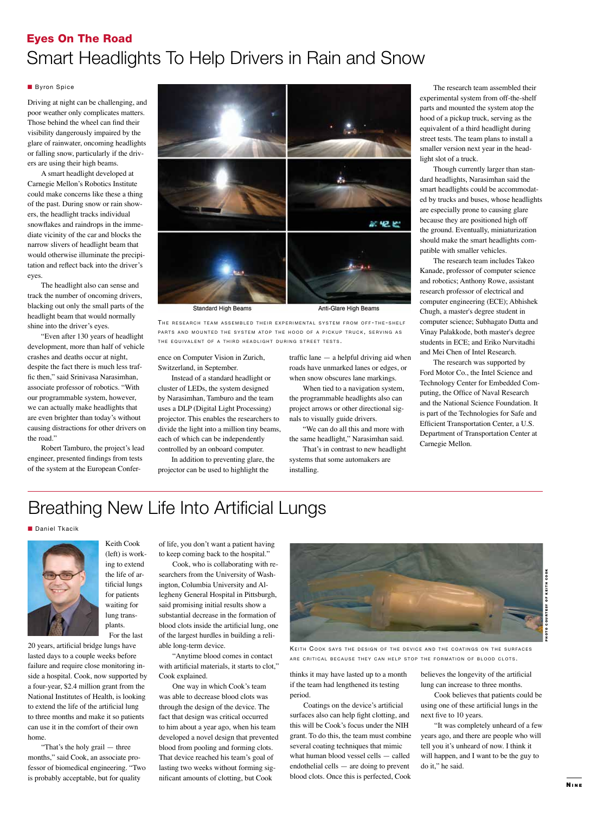### Eyes On The Road Smart Headlights To Help Drivers in Rain and Snow

#### **Byron Spice**

Driving at night can be challenging, and poor weather only complicates matters. Those behind the wheel can find their visibility dangerously impaired by the glare of rainwater, oncoming headlights or falling snow, particularly if the drivers are using their high beams.

A smart headlight developed at Carnegie Mellon's Robotics Institute could make concerns like these a thing of the past. During snow or rain showers, the headlight tracks individual snowflakes and raindrops in the immediate vicinity of the car and blocks the narrow slivers of headlight beam that would otherwise illuminate the precipitation and reflect back into the driver's eyes.

The headlight also can sense and track the number of oncoming drivers, blacking out only the small parts of the headlight beam that would normally shine into the driver's eyes.

"Even after 130 years of headlight development, more than half of vehicle crashes and deaths occur at night, despite the fact there is much less traffic then," said Srinivasa Narasimhan, associate professor of robotics. "With our programmable system, however, we can actually make headlights that are even brighter than today's without causing distractions for other drivers on the road."

Robert Tamburo, the project's lead engineer, presented findings from tests of the system at the European Confer-



**Standard High Beams** 

Anti-Glare High Beams

THE RESEARCH TEAM ASSEMBLED THEIR EXPERIMENTAL SYSTEM FROM OFF-THE-SHELF PARTS AND MOUNTED THE SYSTEM ATOP THE HOOD OF A PICKUP TRUCK, SERVING AS THE EQUIVALENT OF A THIRD HEADLIGHT DURING STREET TESTS.

ence on Computer Vision in Zurich, Switzerland, in September.

Instead of a standard headlight or cluster of LEDs, the system designed by Narasimhan, Tamburo and the team uses a DLP (Digital Light Processing) projector. This enables the researchers to divide the light into a million tiny beams, each of which can be independently controlled by an onboard computer.

In addition to preventing glare, the projector can be used to highlight the

traffic lane — a helpful driving aid when roads have unmarked lanes or edges, or when snow obscures lane markings.

When tied to a navigation system, the programmable headlights also can project arrows or other directional signals to visually guide drivers.

"We can do all this and more with the same headlight," Narasimhan said.

That's in contrast to new headlight systems that some automakers are installing.

The research team assembled their experimental system from off-the-shelf parts and mounted the system atop the hood of a pickup truck, serving as the equivalent of a third headlight during street tests. The team plans to install a smaller version next year in the headlight slot of a truck.

Though currently larger than standard headlights, Narasimhan said the smart headlights could be accommodated by trucks and buses, whose headlights are especially prone to causing glare because they are positioned high off the ground. Eventually, miniaturization should make the smart headlights compatible with smaller vehicles.

The research team includes Takeo Kanade, professor of computer science and robotics; Anthony Rowe, assistant research professor of electrical and computer engineering (ECE); Abhishek Chugh, a master's degree student in computer science; Subhagato Dutta and Vinay Palakkode, both master's degree students in ECE; and Eriko Nurvitadhi and Mei Chen of Intel Research.

The research was supported by Ford Motor Co., the Intel Science and Technology Center for Embedded Computing, the Office of Naval Research and the National Science Foundation. It is part of the Technologies for Safe and Efficient Transportation Center, a U.S. Department of Transportation Center at Carnegie Mellon.

## Breathing New Life Into Artificial Lungs

#### **Daniel Tkacik**



Keith Cook (left) is working to extend the life of artificial lungs for patients waiting for lung transplants. For the last

20 years, artificial bridge lungs have lasted days to a couple weeks before failure and require close monitoring inside a hospital. Cook, now supported by a four-year, \$2.4 million grant from the National Institutes of Health, is looking to extend the life of the artificial lung to three months and make it so patients can use it in the comfort of their own home.

"That's the holy grail — three months," said Cook, an associate professor of biomedical engineering. "Two is probably acceptable, but for quality

of life, you don't want a patient having to keep coming back to the hospital."

Cook, who is collaborating with researchers from the University of Washington, Columbia University and Allegheny General Hospital in Pittsburgh, said promising initial results show a substantial decrease in the formation of blood clots inside the artificial lung, one of the largest hurdles in building a reliable long-term device.

"Anytime blood comes in contact with artificial materials, it starts to clot," Cook explained.

One way in which Cook's team was able to decrease blood clots was through the design of the device. The fact that design was critical occurred to him about a year ago, when his team developed a novel design that prevented blood from pooling and forming clots. That device reached his team's goal of lasting two weeks without forming significant amounts of clotting, but Cook



KEITH COOK SAYS THE DESIGN OF THE DEVICE AND THE COATINGS ON THE SURFACES ARE CRITICAL BECAUSE THEY CAN HELP STOP THE FORMATION OF BLOOD CLOTS.

thinks it may have lasted up to a month if the team had lengthened its testing period.

Coatings on the device's artificial surfaces also can help fight clotting, and this will be Cook's focus under the NIH grant. To do this, the team must combine several coating techniques that mimic what human blood vessel cells — called endothelial cells — are doing to prevent blood clots. Once this is perfected, Cook

believes the longevity of the artificial lung can increase to three months.

Cook believes that patients could be using one of these artificial lungs in the next five to 10 years.

"It was completely unheard of a few years ago, and there are people who will tell you it's unheard of now. I think it will happen, and I want to be the guy to do it," he said.

N i n e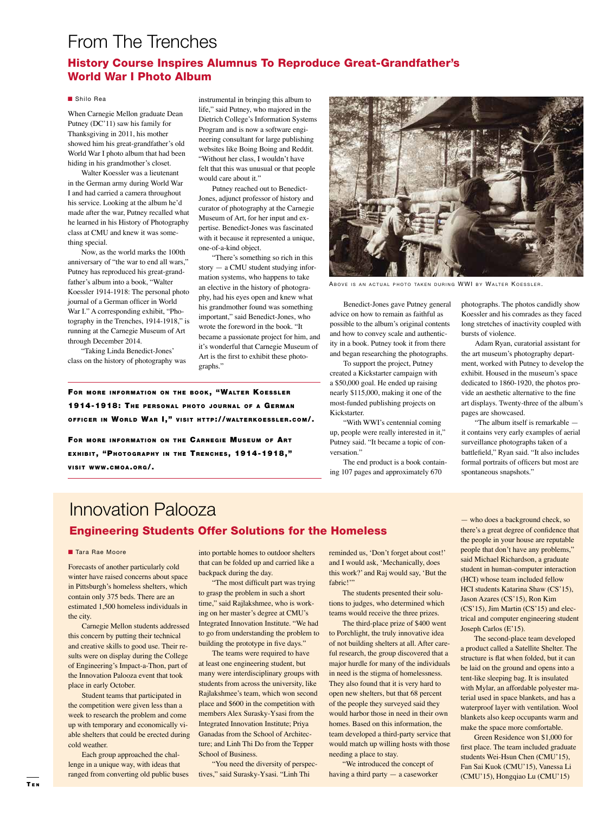### From The Trenches

#### History Course Inspires Alumnus To Reproduce Great-Grandfather's World War I Photo Album

#### ■ Shilo Rea

When Carnegie Mellon graduate Dean Putney (DC'11) saw his family for Thanksgiving in 2011, his mother showed him his great-grandfather's old World War I photo album that had been hiding in his grandmother's closet.

Walter Koessler was a lieutenant in the German army during World War I and had carried a camera throughout his service. Looking at the album he'd made after the war, Putney recalled what he learned in his History of Photography class at CMU and knew it was something special.

Now, as the world marks the 100th anniversary of "the war to end all wars," Putney has reproduced his great-grandfather's album into a book, "Walter Koessler 1914-1918: The personal photo journal of a German officer in World War I." A corresponding exhibit, "Photography in the Trenches, 1914-1918," is running at the Carnegie Museum of Art through December 2014.

"Taking Linda Benedict-Jones' class on the history of photography was

instrumental in bringing this album to life," said Putney, who majored in the Dietrich College's Information Systems Program and is now a software engineering consultant for large publishing websites like Boing Boing and Reddit. "Without her class, I wouldn't have felt that this was unusual or that people would care about it."

Putney reached out to Benedict-Jones, adjunct professor of history and curator of photography at the Carnegie Museum of Art, for her input and expertise. Benedict-Jones was fascinated with it because it represented a unique, one-of-a-kind object.

"There's something so rich in this story — a CMU student studying information systems, who happens to take an elective in the history of photography, had his eyes open and knew what his grandmother found was something important," said Benedict-Jones, who wrote the foreword in the book. "It became a passionate project for him, and it's wonderful that Carnegie Museum of Art is the first to exhibit these photographs."

FOR MORE INFORMATION ON THE BOOK, "WALTER KOESSLER 1914-1918: The PERSONAL PHOTO JOURNAL OF A GERMAN OFFICER IN WORLD WAR I," VISIT HTTP://WALTERKOESSLER.COM/.

FOR MORE INFORMATION ON THE CARNEGIE MUSEUM OF ART EXHIBIT, "PHOTOGRAPHY IN THE TRENCHES, 1914-1918," **VISIT WWW.CMOA.ORG/.** 



ABOVE IS AN ACTUAL PHOTO TAKEN DURING WWI BY WALTER KOESSLER.

Benedict-Jones gave Putney general advice on how to remain as faithful as possible to the album's original contents and how to convey scale and authenticity in a book. Putney took it from there and began researching the photographs.

To support the project, Putney created a Kickstarter campaign with a \$50,000 goal. He ended up raising nearly \$115,000, making it one of the most-funded publishing projects on Kickstarter.

"With WWI's centennial coming up, people were really interested in it," Putney said. "It became a topic of conversation."

The end product is a book containing 107 pages and approximately 670

photographs. The photos candidly show Koessler and his comrades as they faced long stretches of inactivity coupled with bursts of violence.

Adam Ryan, curatorial assistant for the art museum's photography department, worked with Putney to develop the exhibit. Housed in the museum's space dedicated to 1860-1920, the photos provide an aesthetic alternative to the fine art displays. Twenty-three of the album's pages are showcased.

"The album itself is remarkable it contains very early examples of aerial surveillance photographs taken of a battlefield," Ryan said. "It also includes formal portraits of officers but most are spontaneous snapshots."

### Innovation Palooza Engineering Students Offer Solutions for the Homeless

#### ■ Tara Rae Moore

Forecasts of another particularly cold winter have raised concerns about space in Pittsburgh's homeless shelters, which contain only 375 beds. There are an estimated 1,500 homeless individuals in the city.

Carnegie Mellon students addressed this concern by putting their technical and creative skills to good use. Their results were on display during the College of Engineering's Impact-a-Thon, part of the Innovation Palooza event that took place in early October.

Student teams that participated in the competition were given less than a week to research the problem and come up with temporary and economically viable shelters that could be erected during cold weather.

Each group approached the challenge in a unique way, with ideas that ranged from converting old public buses

into portable homes to outdoor shelters that can be folded up and carried like a backpack during the day.

"The most difficult part was trying to grasp the problem in such a short time," said Rajlakshmee, who is working on her master's degree at CMU's Integrated Innovation Institute. "We had to go from understanding the problem to building the prototype in five days."

The teams were required to have at least one engineering student, but many were interdisciplinary groups with students from across the university, like Rajlakshmee's team, which won second place and \$600 in the competition with members Alex Surasky-Ysasi from the Integrated Innovation Institute; Priya Ganadas from the School of Architecture; and Linh Thi Do from the Tepper School of Business.

"You need the diversity of perspectives," said Surasky-Ysasi. "Linh Thi

reminded us, 'Don't forget about cost!' and I would ask, 'Mechanically, does this work?' and Raj would say, 'But the fabric!"

The students presented their solutions to judges, who determined which teams would receive the three prizes.

The third-place prize of \$400 went to Porchlight, the truly innovative idea of not building shelters at all. After careful research, the group discovered that a major hurdle for many of the individuals in need is the stigma of homelessness. They also found that it is very hard to open new shelters, but that 68 percent of the people they surveyed said they would harbor those in need in their own homes. Based on this information, the team developed a third-party service that would match up willing hosts with those needing a place to stay.

"We introduced the concept of having a third party — a caseworker

— who does a background check, so there's a great degree of confidence that the people in your house are reputable people that don't have any problems," said Michael Richardson, a graduate student in human-computer interaction (HCI) whose team included fellow HCI students Katarina Shaw (CS'15), Jason Azares (CS'15), Ron Kim (CS'15), Jim Martin (CS'15) and electrical and computer engineering student Joseph Carlos (E'15).

The second-place team developed a product called a Satellite Shelter. The structure is flat when folded, but it can be laid on the ground and opens into a tent-like sleeping bag. It is insulated with Mylar, an affordable polyester material used in space blankets, and has a waterproof layer with ventilation. Wool blankets also keep occupants warm and make the space more comfortable.

Green Residence won \$1,000 for first place. The team included graduate students Wei-Hsun Chen (CMU'15), Fan Sai Kuok (CMU'15), Vanessa Li (CMU'15), Hongqiao Lu (CMU'15)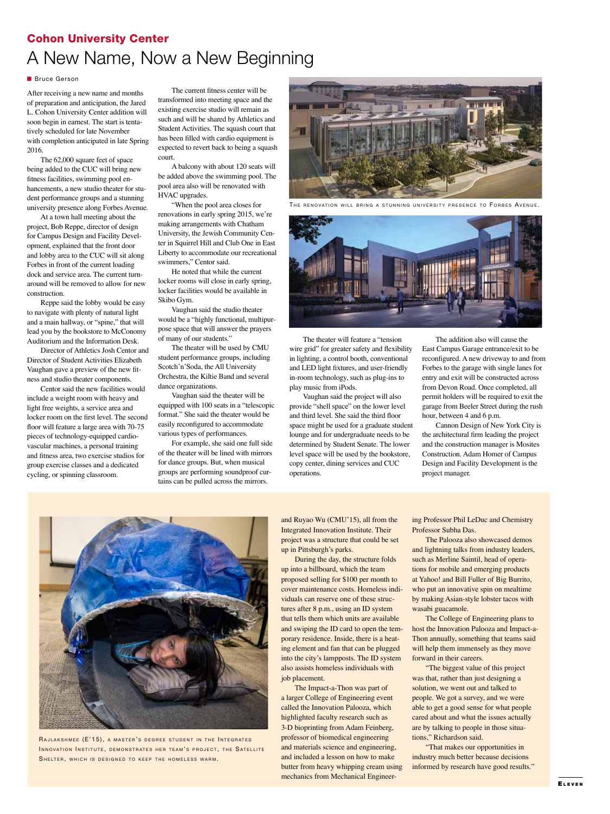### Cohon University Center A New Name, Now a New Beginning

#### **n** Bruce Gerson

After receiving a new name and months of preparation and anticipation, the Jared L. Cohon University Center addition will soon begin in earnest. The start is tentatively scheduled for late November with completion anticipated in late Spring 2016.

The 62,000 square feet of space being added to the CUC will bring new fitness facilities, swimming pool enhancements, a new studio theater for student performance groups and a stunning university presence along Forbes Avenue.

At a town hall meeting about the project, Bob Reppe, director of design for Campus Design and Facility Development, explained that the front door and lobby area to the CUC will sit along Forbes in front of the current loading dock and service area. The current turnaround will be removed to allow for new construction.

Reppe said the lobby would be easy to navigate with plenty of natural light and a main hallway, or "spine," that will lead you by the bookstore to McConomy Auditorium and the Information Desk.

Director of Athletics Josh Centor and Director of Student Activities Elizabeth Vaughan gave a preview of the new fitness and studio theater components.

Centor said the new facilities would include a weight room with heavy and light free weights, a service area and locker room on the first level. The second floor will feature a large area with 70-75 pieces of technology-equipped cardiovascular machines, a personal training and fitness area, two exercise studios for group exercise classes and a dedicated cycling, or spinning classroom.

The current fitness center will be transformed into meeting space and the existing exercise studio will remain as such and will be shared by Athletics and Student Activities. The squash court that has been filled with cardio equipment is expected to revert back to being a squash court.

A balcony with about 120 seats will be added above the swimming pool. The pool area also will be renovated with HVAC upgrades.

"When the pool area closes for renovations in early spring 2015, we're making arrangements with Chatham University, the Jewish Community Center in Squirrel Hill and Club One in East Liberty to accommodate our recreational swimmers," Centor said.

He noted that while the current locker rooms will close in early spring, locker facilities would be available in Skibo Gym.

Vaughan said the studio theater would be a "highly functional, multipurpose space that will answer the prayers of many of our students."

The theater will be used by CMU student performance groups, including Scotch'n'Soda, the All University Orchestra, the Kiltie Band and several dance organizations.

Vaughan said the theater will be equipped with 100 seats in a "telescopic format." She said the theater would be easily reconfigured to accommodate various types of performances.

For example, she said one full side of the theater will be lined with mirrors for dance groups. But, when musical groups are performing soundproof curtains can be pulled across the mirrors.



THE RENOVATION WILL BRING A STUNNING UNIVERSITY PRESENCE TO FORBES AVENUE.



The theater will feature a "tension wire grid" for greater safety and flexibility in lighting, a control booth, conventional and LED light fixtures, and user-friendly in-room technology, such as plug-ins to play music from iPods.

Vaughan said the project will also provide "shell space" on the lower level and third level. She said the third floor space might be used for a graduate student lounge and for undergraduate needs to be determined by Student Senate. The lower level space will be used by the bookstore, copy center, dining services and CUC operations.

The addition also will cause the East Campus Garage entrance/exit to be reconfigured. A new driveway to and from Forbes to the garage with single lanes for entry and exit will be constructed across from Devon Road. Once completed, all permit holders will be required to exit the garage from Beeler Street during the rush hour, between 4 and 6 p.m.

Cannon Design of New York City is the architectural firm leading the project and the construction manager is Mosites Construction. Adam Homer of Campus Design and Facility Development is the project manager.



RAJLAKSHMEE (E'15), A MASTER'S DEGREE STUDENT IN THE INTEGRATED INNOVATION INSTITUTE, DEMONSTRATES HER TEAM'S PROJECT, THE SATELLITE SHELTER, WHICH IS DESIGNED TO KEEP THE HOMELESS WARM.

and Ruyao Wu (CMU'15), all from the Integrated Innovation Institute. Their project was a structure that could be set up in Pittsburgh's parks.

During the day, the structure folds up into a billboard, which the team proposed selling for \$100 per month to cover maintenance costs. Homeless individuals can reserve one of these structures after 8 p.m., using an ID system that tells them which units are available and swiping the ID card to open the temporary residence. Inside, there is a heating element and fan that can be plugged into the city's lampposts. The ID system also assists homeless individuals with job placement.

The Impact-a-Thon was part of a larger College of Engineering event called the Innovation Palooza, which highlighted faculty research such as 3-D bioprinting from Adam Feinberg, professor of biomedical engineering and materials science and engineering, and included a lesson on how to make butter from heavy whipping cream using mechanics from Mechanical Engineer-

ing Professor Phil LeDuc and Chemistry Professor Subha Das.

The Palooza also showcased demos and lightning talks from industry leaders, such as Merline Saintil, head of operations for mobile and emerging products at Yahoo! and Bill Fuller of Big Burrito, who put an innovative spin on mealtime by making Asian-style lobster tacos with wasabi guacamole.

The College of Engineering plans to host the Innovation Palooza and Impact-a-Thon annually, something that teams said will help them immensely as they move forward in their careers.

"The biggest value of this project was that, rather than just designing a solution, we went out and talked to people. We got a survey, and we were able to get a good sense for what people cared about and what the issues actually are by talking to people in those situations," Richardson said.

"That makes our opportunities in industry much better because decisions informed by research have good results."